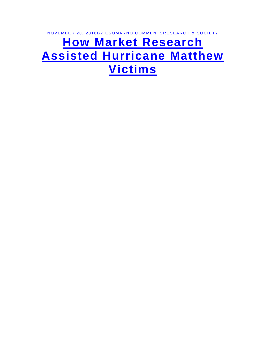NOVEMBER 28, 2016BY ESOMARNO COMMENTSRESEARCH & SOCIETY

## **[How Market Research](https://rwconnect.esomar.org/how-market-research-assisted-hurricane-matthew-victims/)  [Assisted Hurricane Matthew](https://rwconnect.esomar.org/how-market-research-assisted-hurricane-matthew-victims/)  [Victims](https://rwconnect.esomar.org/how-market-research-assisted-hurricane-matthew-victims/)**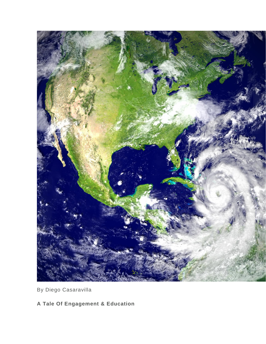

By Diego Casaravilla

**A Tale Of Engagement & Education**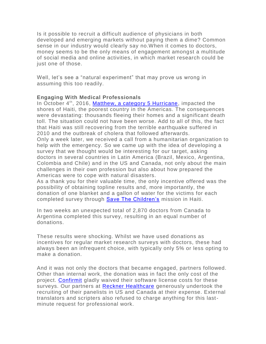Is it possible to recruit a difficult audience of physicians in both developed and emerging markets without paying them a dime? Common sense in our industry would clearly say no.When it comes to doctors, money seems to be the only means of engagement amongst a multitude of social media and online activities, in which market research could be just one of those.

Well, let's see a "natural experiment" that may prove us wrong in assuming this too readily.

## **Engaging With Medical Professionals**

In October 4<sup>th</sup>, 2016, [Matthew, a category 5 Hurricane,](https://en.wikipedia.org/wiki/Hurricane_Matthew) impacted the shores of Haiti, the poorest country in the Americas. The consequences were devastating: thousands fleeing their homes and a significant death toll. The situation could not have been worse. Add to all of this, the fact that Haiti was still recovering from the terrible earthquake suffered in 2010 and the outbreak of cholera that followed afterwards.

Only a week later, we received a call from a humanitarian organization to help with the emergency. So we came up with the idea of developing a survey that we thought would be interesting for our target, asking doctors in several countries in Latin America (Brazil, Mexico, Argentina, Colombia and Chile) and in the US and Canada, not only about the main challenges in their own profession but also about how prepared the Americas were to cope with natural disasters.

As a thank you for their valuable time, the only incentive offered was the possibility of obtaining topline results and, more importantly, the donation of one blanket and a gallon of water for the victims for each completed survey through [Save The Children's](https://secure.savethechildren.org.uk/donate/?utm_campaign=ppc&utm_medium=ppc&utm_source=ppcbran&gclid=CjwKEAiAyO_BBRDOgM-K8MGWpmYSJACePQ9CfolGPg_plCNLqWCLJM2_b5N7hIdyXWMFKUSn8J7KZRoCzX3w_wcB) mission in Haiti.

In two weeks an unexpected total of 2,870 doctors from Canada to Argentina completed this survey, resulting in an equal number of donations.

These results were shocking. Whilst we have used donations as incentives for regular market research surveys with doctors, these had always been an infrequent choice, with typically only 5% or less opting to make a donation.

And it was not only the doctors that became engaged, partners followed. Other than internal work, the donation was in fact the only cost of the project. [Confirmit](https://www.confirmit.com/) gladly waived their software license costs for these surveys. Our partners at [Reckner Healthcare](http://www.recknerhealthcare.com/) generously undertook the recruiting of their panelists in US and Canada at their expense. External translators and scripters also refused to charge anything for this lastminute request for professional work.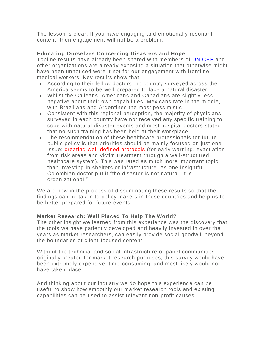The lesson is clear. If you have engaging and emotionally resonant content, then engagement will not be a problem.

## **Educating Ourselves Concerning Disasters and Hope**

Topline results have already been shared with members of [UNICEF](http://www.unicef.org.uk/) and other organizations are already exposing a situation that otherwise might have been unnoticed were it not for our engagement with frontline medical workers. Key results show that:

- According to their fellow doctors, no country surveyed across the America seems to be well-prepared to face a natural disaster
- Whilst the Chileans, Americans and Canadians are slightly less negative about their own capabilities, Mexicans rate in the middle, with Brazilians and Argentines the most pessimistic
- Consistent with this regional perception, the majority of physicians surveyed in each country have not received any specific training to cope with natural disaster events and most hospital doctors stated that no such training has been held at their workplace
- The recommendation of these healthcare professionals for future public policy is that priorities should be mainly focused on just one issue: creating well-defined protocols (for early warning, evacuation from risk areas and victim treatment through a well-structured healthcare system). This was rated as much more important topic than investing in shelters or infrastructure. As one insightful Colombian doctor put it "the disaster is not natural, it is organizational!"

We are now in the process of disseminating these results so that the findings can be taken to policy makers in these countries and help us to be better prepared for future events.

## **Market Research: Well Placed To Help The World?**

The other insight we learned from this experience was the discovery that the tools we have patiently developed and heavily invested in over the years as market researchers, can easily provide social goodwill beyond the boundaries of client-focused content.

Without the technical and social infrastructure of panel communities originally created for market research purposes, this survey would have been extremely expensive, time-consuming, and most likely would not have taken place.

And thinking about our industry we do hope this experience can be useful to show how smoothly our market research tools and existing capabilities can be used to assist relevant non-profit causes.